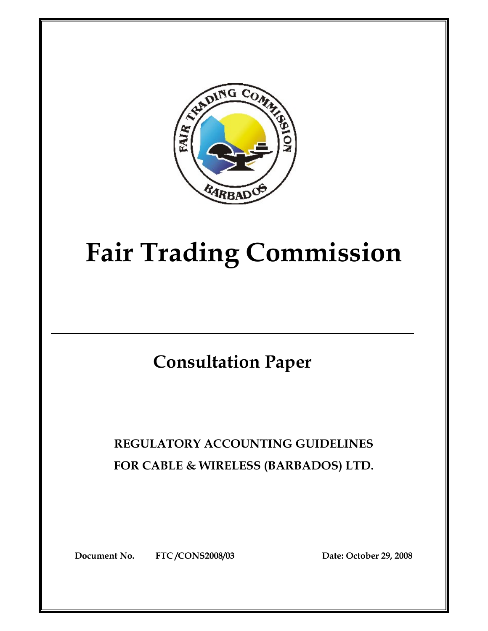

# **Fair Trading Commission**

## **Consultation Paper**

## **REGULATORY ACCOUNTING GUIDELINES FOR CABLE & WIRELESS (BARBADOS) LTD.**

**Document No. FTC /CONS2008/03 Date: October 29, 2008**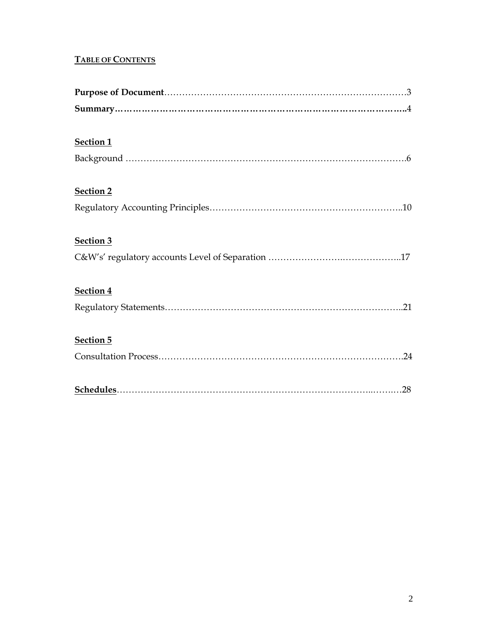#### **TABLE OF CONTENTS**

| Section 1        |
|------------------|
|                  |
| <b>Section 2</b> |
|                  |
| Section 3        |
|                  |
| Section 4        |
|                  |
| Section 5        |
|                  |
|                  |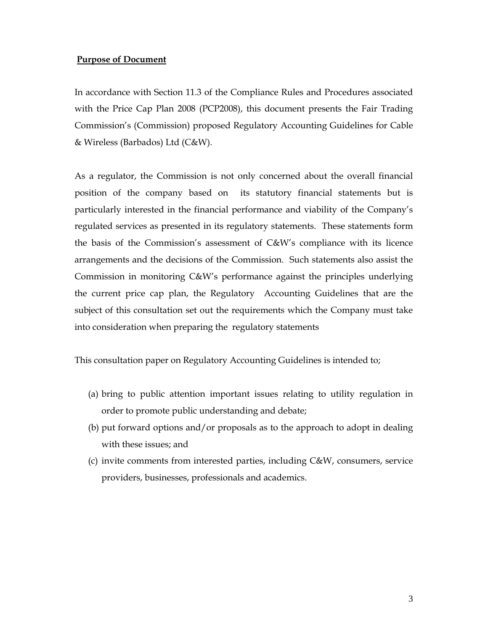#### **Purpose of Document**

In accordance with Section 11.3 of the Compliance Rules and Procedures associated with the Price Cap Plan 2008 (PCP2008), this document presents the Fair Trading Commission's (Commission) proposed Regulatory Accounting Guidelines for Cable & Wireless (Barbados) Ltd (C&W).

As a regulator, the Commission is not only concerned about the overall financial position of the company based on its statutory financial statements but is particularly interested in the financial performance and viability of the Company's regulated services as presented in its regulatory statements. These statements form the basis of the Commission's assessment of C&W's compliance with its licence arrangements and the decisions of the Commission. Such statements also assist the Commission in monitoring C&W's performance against the principles underlying the current price cap plan, the Regulatory Accounting Guidelines that are the subject of this consultation set out the requirements which the Company must take into consideration when preparing the regulatory statements

This consultation paper on Regulatory Accounting Guidelines is intended to;

- (a) bring to public attention important issues relating to utility regulation in order to promote public understanding and debate;
- (b) put forward options and/or proposals as to the approach to adopt in dealing with these issues; and
- (c) invite comments from interested parties, including C&W, consumers, service providers, businesses, professionals and academics.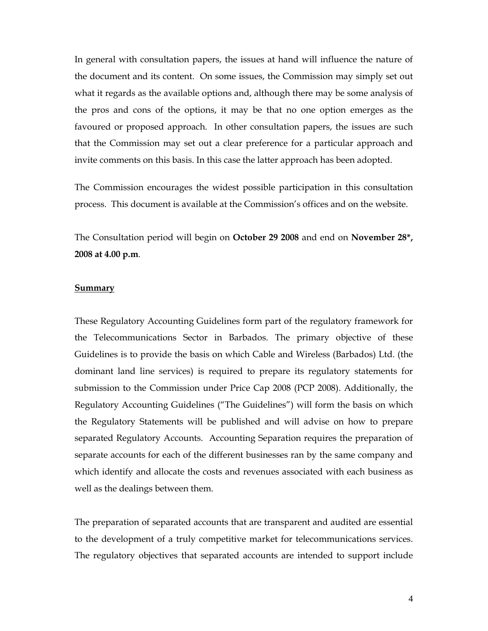In general with consultation papers, the issues at hand will influence the nature of the document and its content. On some issues, the Commission may simply set out what it regards as the available options and, although there may be some analysis of the pros and cons of the options, it may be that no one option emerges as the favoured or proposed approach. In other consultation papers, the issues are such that the Commission may set out a clear preference for a particular approach and invite comments on this basis. In this case the latter approach has been adopted.

The Commission encourages the widest possible participation in this consultation process. This document is available at the Commission's offices and on the website.

The Consultation period will begin on **October 29 2008** and end on **November 28\*, 2008 at 4.00 p.m**.

#### **Summary**

These Regulatory Accounting Guidelines form part of the regulatory framework for the Telecommunications Sector in Barbados. The primary objective of these Guidelines is to provide the basis on which Cable and Wireless (Barbados) Ltd. (the dominant land line services) is required to prepare its regulatory statements for submission to the Commission under Price Cap 2008 (PCP 2008). Additionally, the Regulatory Accounting Guidelines ("The Guidelines") will form the basis on which the Regulatory Statements will be published and will advise on how to prepare separated Regulatory Accounts. Accounting Separation requires the preparation of separate accounts for each of the different businesses ran by the same company and which identify and allocate the costs and revenues associated with each business as well as the dealings between them.

The preparation of separated accounts that are transparent and audited are essential to the development of a truly competitive market for telecommunications services. The regulatory objectives that separated accounts are intended to support include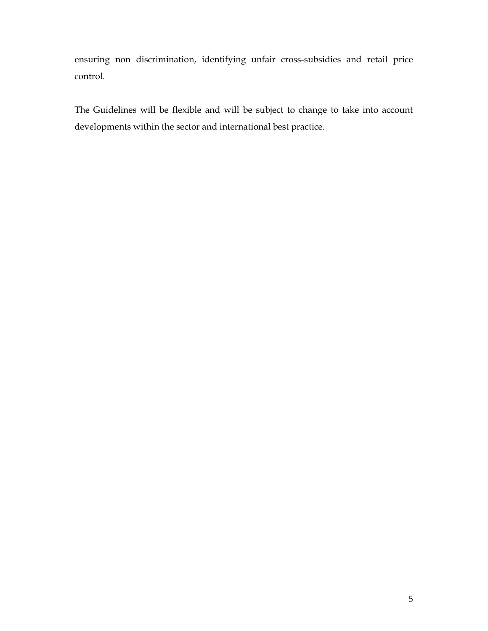ensuring non discrimination, identifying unfair cross-subsidies and retail price control.

The Guidelines will be flexible and will be subject to change to take into account developments within the sector and international best practice.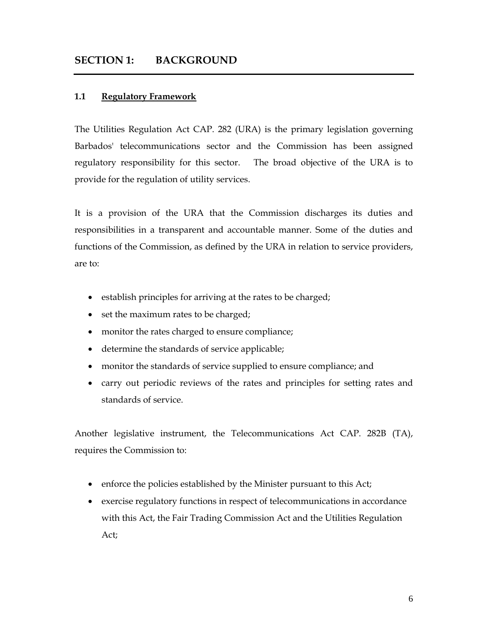#### **SECTION 1: BACKGROUND**

#### **1.1 Regulatory Framework**

The Utilities Regulation Act CAP. 282 (URA) is the primary legislation governing Barbados' telecommunications sector and the Commission has been assigned regulatory responsibility for this sector. The broad objective of the URA is to provide for the regulation of utility services.

It is a provision of the URA that the Commission discharges its duties and responsibilities in a transparent and accountable manner. Some of the duties and functions of the Commission, as defined by the URA in relation to service providers, are to:

- establish principles for arriving at the rates to be charged;
- set the maximum rates to be charged;
- monitor the rates charged to ensure compliance;
- determine the standards of service applicable;
- monitor the standards of service supplied to ensure compliance; and
- carry out periodic reviews of the rates and principles for setting rates and standards of service.

Another legislative instrument, the Telecommunications Act CAP. 282B (TA), requires the Commission to:

- enforce the policies established by the Minister pursuant to this Act;
- exercise regulatory functions in respect of telecommunications in accordance with this Act, the Fair Trading Commission Act and the Utilities Regulation Act;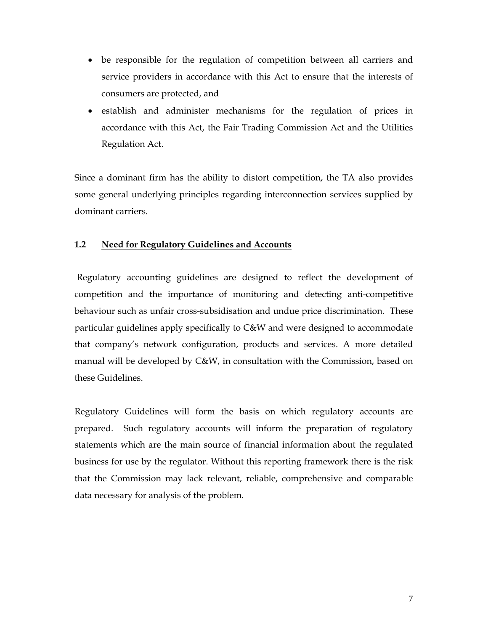- be responsible for the regulation of competition between all carriers and service providers in accordance with this Act to ensure that the interests of consumers are protected, and
- establish and administer mechanisms for the regulation of prices in accordance with this Act, the Fair Trading Commission Act and the Utilities Regulation Act.

Since a dominant firm has the ability to distort competition, the TA also provides some general underlying principles regarding interconnection services supplied by dominant carriers.

#### **1.2 Need for Regulatory Guidelines and Accounts**

 Regulatory accounting guidelines are designed to reflect the development of competition and the importance of monitoring and detecting anti-competitive behaviour such as unfair cross-subsidisation and undue price discrimination. These particular guidelines apply specifically to C&W and were designed to accommodate that company's network configuration, products and services. A more detailed manual will be developed by C&W, in consultation with the Commission, based on these Guidelines.

Regulatory Guidelines will form the basis on which regulatory accounts are prepared. Such regulatory accounts will inform the preparation of regulatory statements which are the main source of financial information about the regulated business for use by the regulator. Without this reporting framework there is the risk that the Commission may lack relevant, reliable, comprehensive and comparable data necessary for analysis of the problem.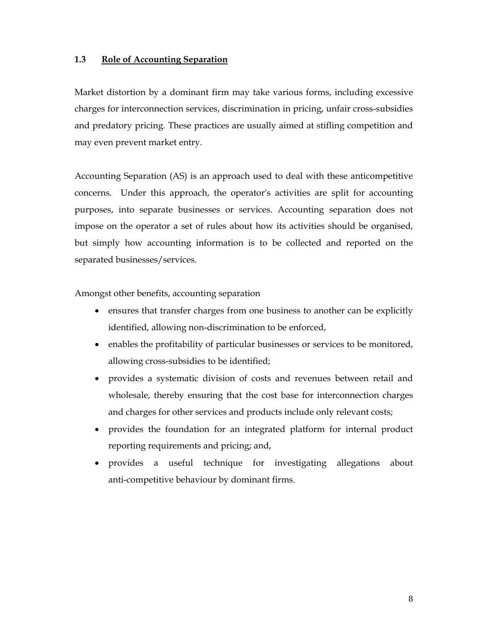#### **1.3 Role of Accounting Separation**

Market distortion by a dominant firm may take various forms, including excessive charges for interconnection services, discrimination in pricing, unfair cross-subsidies and predatory pricing. These practices are usually aimed at stifling competition and may even prevent market entry.

Accounting Separation (AS) is an approach used to deal with these anticompetitive concerns. Under this approach, the operator's activities are split for accounting purposes, into separate businesses or services. Accounting separation does not impose on the operator a set of rules about how its activities should be organised, but simply how accounting information is to be collected and reported on the separated businesses/services.

Amongst other benefits, accounting separation

- ensures that transfer charges from one business to another can be explicitly identified, allowing non-discrimination to be enforced,
- enables the profitability of particular businesses or services to be monitored, allowing cross-subsidies to be identified;
- provides a systematic division of costs and revenues between retail and wholesale, thereby ensuring that the cost base for interconnection charges and charges for other services and products include only relevant costs;
- provides the foundation for an integrated platform for internal product reporting requirements and pricing; and,
- provides a useful technique for investigating allegations about anti-competitive behaviour by dominant firms.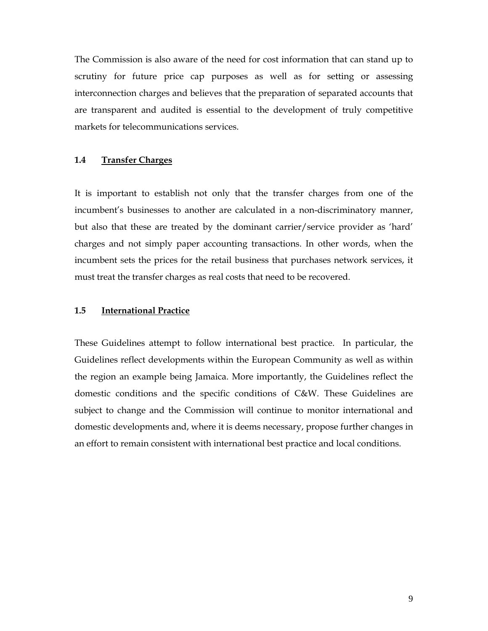The Commission is also aware of the need for cost information that can stand up to scrutiny for future price cap purposes as well as for setting or assessing interconnection charges and believes that the preparation of separated accounts that are transparent and audited is essential to the development of truly competitive markets for telecommunications services.

#### **1.4 Transfer Charges**

It is important to establish not only that the transfer charges from one of the incumbent's businesses to another are calculated in a non-discriminatory manner, but also that these are treated by the dominant carrier/service provider as 'hard' charges and not simply paper accounting transactions. In other words, when the incumbent sets the prices for the retail business that purchases network services, it must treat the transfer charges as real costs that need to be recovered.

#### **1.5 International Practice**

These Guidelines attempt to follow international best practice. In particular, the Guidelines reflect developments within the European Community as well as within the region an example being Jamaica. More importantly, the Guidelines reflect the domestic conditions and the specific conditions of C&W. These Guidelines are subject to change and the Commission will continue to monitor international and domestic developments and, where it is deems necessary, propose further changes in an effort to remain consistent with international best practice and local conditions.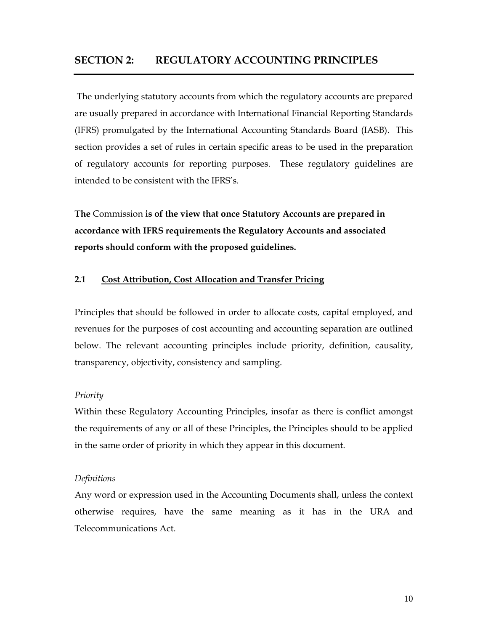#### **SECTION 2: REGULATORY ACCOUNTING PRINCIPLES**

The underlying statutory accounts from which the regulatory accounts are prepared are usually prepared in accordance with International Financial Reporting Standards (IFRS) promulgated by the International Accounting Standards Board (IASB). This section provides a set of rules in certain specific areas to be used in the preparation of regulatory accounts for reporting purposes. These regulatory guidelines are intended to be consistent with the IFRS's.

**The** Commission **is of the view that once Statutory Accounts are prepared in accordance with IFRS requirements the Regulatory Accounts and associated reports should conform with the proposed guidelines.**

#### **2.1 Cost Attribution, Cost Allocation and Transfer Pricing**

Principles that should be followed in order to allocate costs, capital employed, and revenues for the purposes of cost accounting and accounting separation are outlined below. The relevant accounting principles include priority, definition, causality, transparency, objectivity, consistency and sampling.

#### *Priority*

Within these Regulatory Accounting Principles, insofar as there is conflict amongst the requirements of any or all of these Principles, the Principles should to be applied in the same order of priority in which they appear in this document.

#### *Definitions*

Any word or expression used in the Accounting Documents shall, unless the context otherwise requires, have the same meaning as it has in the URA and Telecommunications Act.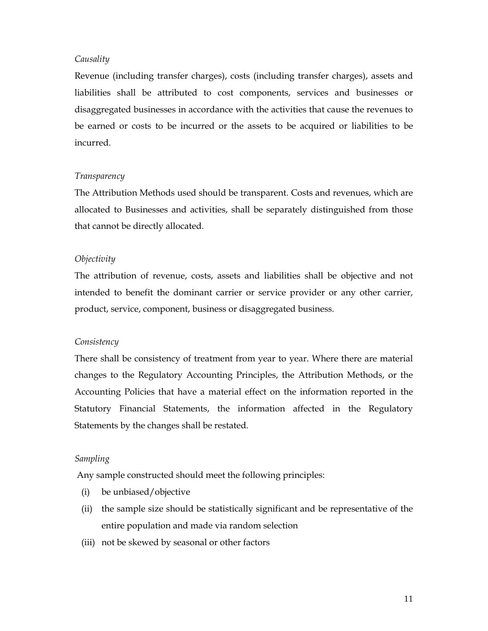#### *Causality*

Revenue (including transfer charges), costs (including transfer charges), assets and liabilities shall be attributed to cost components, services and businesses or disaggregated businesses in accordance with the activities that cause the revenues to be earned or costs to be incurred or the assets to be acquired or liabilities to be incurred.

#### *Transparency*

The Attribution Methods used should be transparent. Costs and revenues, which are allocated to Businesses and activities, shall be separately distinguished from those that cannot be directly allocated.

#### *Objectivity*

The attribution of revenue, costs, assets and liabilities shall be objective and not intended to benefit the dominant carrier or service provider or any other carrier, product, service, component, business or disaggregated business.

#### *Consistency*

There shall be consistency of treatment from year to year. Where there are material changes to the Regulatory Accounting Principles, the Attribution Methods, or the Accounting Policies that have a material effect on the information reported in the Statutory Financial Statements, the information affected in the Regulatory Statements by the changes shall be restated.

#### *Sampling*

Any sample constructed should meet the following principles:

- (i) be unbiased/objective
- (ii) the sample size should be statistically significant and be representative of the entire population and made via random selection
- (iii) not be skewed by seasonal or other factors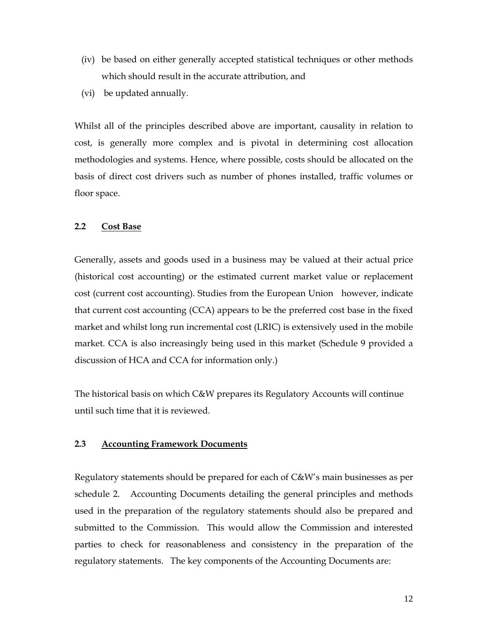- (iv) be based on either generally accepted statistical techniques or other methods which should result in the accurate attribution, and
- (vi) be updated annually.

Whilst all of the principles described above are important, causality in relation to cost, is generally more complex and is pivotal in determining cost allocation methodologies and systems. Hence, where possible, costs should be allocated on the basis of direct cost drivers such as number of phones installed, traffic volumes or floor space.

#### **2.2 Cost Base**

Generally, assets and goods used in a business may be valued at their actual price (historical cost accounting) or the estimated current market value or replacement cost (current cost accounting). Studies from the European Union however, indicate that current cost accounting (CCA) appears to be the preferred cost base in the fixed market and whilst long run incremental cost (LRIC) is extensively used in the mobile market. CCA is also increasingly being used in this market (Schedule 9 provided a discussion of HCA and CCA for information only.)

The historical basis on which C&W prepares its Regulatory Accounts will continue until such time that it is reviewed.

#### **2.3 Accounting Framework Documents**

Regulatory statements should be prepared for each of C&W's main businesses as per schedule 2. Accounting Documents detailing the general principles and methods used in the preparation of the regulatory statements should also be prepared and submitted to the Commission. This would allow the Commission and interested parties to check for reasonableness and consistency in the preparation of the regulatory statements. The key components of the Accounting Documents are: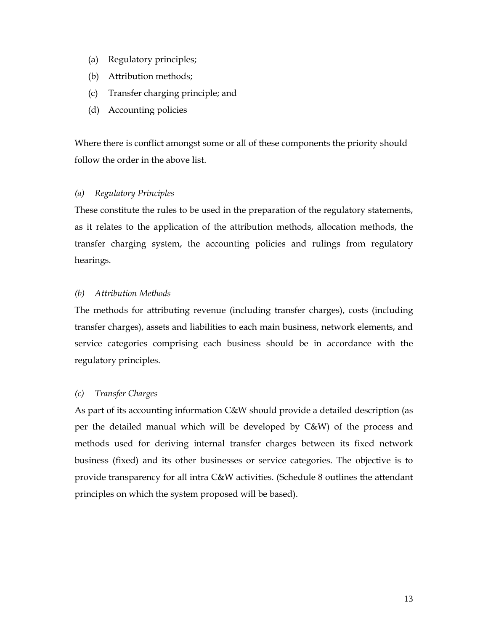- (a) Regulatory principles;
- (b) Attribution methods;
- (c) Transfer charging principle; and
- (d) Accounting policies

Where there is conflict amongst some or all of these components the priority should follow the order in the above list.

#### *(a) Regulatory Principles*

These constitute the rules to be used in the preparation of the regulatory statements, as it relates to the application of the attribution methods, allocation methods, the transfer charging system, the accounting policies and rulings from regulatory hearings.

#### *(b) Attribution Methods*

The methods for attributing revenue (including transfer charges), costs (including transfer charges), assets and liabilities to each main business, network elements, and service categories comprising each business should be in accordance with the regulatory principles.

#### *(c) Transfer Charges*

As part of its accounting information C&W should provide a detailed description (as per the detailed manual which will be developed by C&W) of the process and methods used for deriving internal transfer charges between its fixed network business (fixed) and its other businesses or service categories. The objective is to provide transparency for all intra C&W activities. (Schedule 8 outlines the attendant principles on which the system proposed will be based).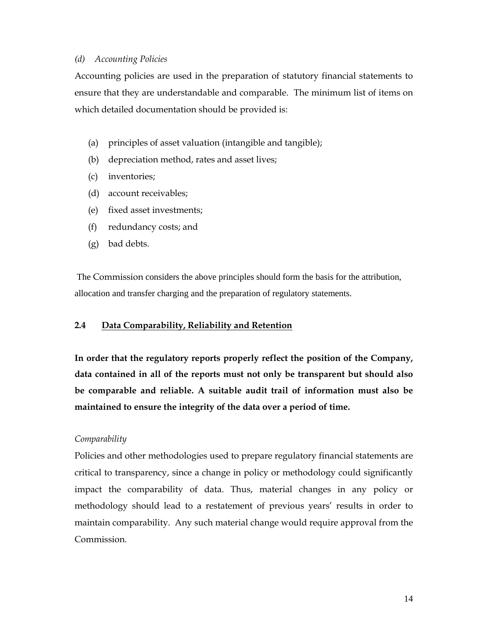#### *(d) Accounting Policies*

Accounting policies are used in the preparation of statutory financial statements to ensure that they are understandable and comparable. The minimum list of items on which detailed documentation should be provided is:

- (a) principles of asset valuation (intangible and tangible);
- (b) depreciation method, rates and asset lives;
- (c) inventories;
- (d) account receivables;
- (e) fixed asset investments;
- (f) redundancy costs; and
- (g) bad debts.

The Commission considers the above principles should form the basis for the attribution, allocation and transfer charging and the preparation of regulatory statements.

#### **2.4 Data Comparability, Reliability and Retention**

**In order that the regulatory reports properly reflect the position of the Company, data contained in all of the reports must not only be transparent but should also be comparable and reliable. A suitable audit trail of information must also be maintained to ensure the integrity of the data over a period of time.** 

#### *Comparability*

Policies and other methodologies used to prepare regulatory financial statements are critical to transparency, since a change in policy or methodology could significantly impact the comparability of data. Thus, material changes in any policy or methodology should lead to a restatement of previous years' results in order to maintain comparability. Any such material change would require approval from the Commission.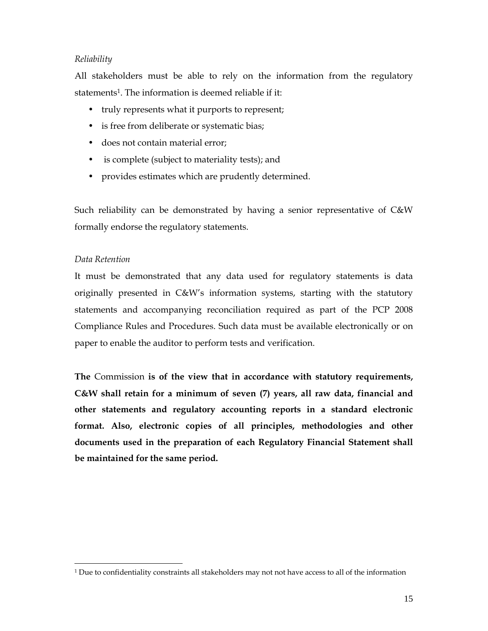#### *Reliability*

All stakeholders must be able to rely on the information from the regulatory statements<sup>1</sup>. The information is deemed reliable if it:

- truly represents what it purports to represent;
- is free from deliberate or systematic bias;
- does not contain material error;
- is complete (subject to materiality tests); and
- provides estimates which are prudently determined.

Such reliability can be demonstrated by having a senior representative of C&W formally endorse the regulatory statements.

#### *Data Retention*

 $\overline{a}$ 

It must be demonstrated that any data used for regulatory statements is data originally presented in C&W's information systems, starting with the statutory statements and accompanying reconciliation required as part of the PCP 2008 Compliance Rules and Procedures. Such data must be available electronically or on paper to enable the auditor to perform tests and verification.

**The** Commission **is of the view that in accordance with statutory requirements, C&W shall retain for a minimum of seven (7) years, all raw data, financial and other statements and regulatory accounting reports in a standard electronic format. Also, electronic copies of all principles, methodologies and other documents used in the preparation of each Regulatory Financial Statement shall be maintained for the same period.** 

<sup>&</sup>lt;sup>1</sup> Due to confidentiality constraints all stakeholders may not not have access to all of the information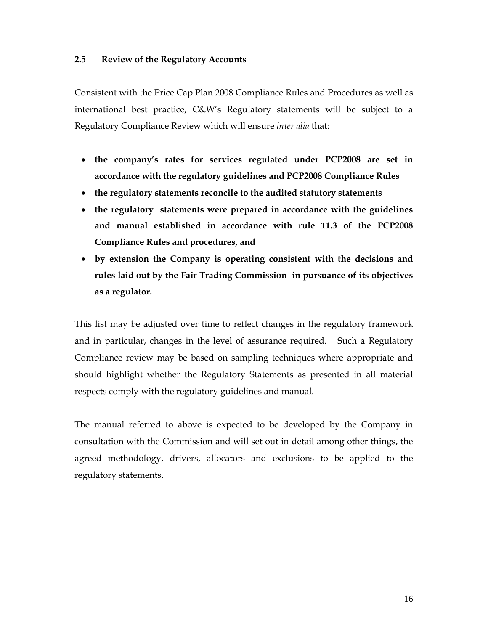#### **2.5 Review of the Regulatory Accounts**

Consistent with the Price Cap Plan 2008 Compliance Rules and Procedures as well as international best practice, C&W's Regulatory statements will be subject to a Regulatory Compliance Review which will ensure *inter alia* that:

- **the company's rates for services regulated under PCP2008 are set in accordance with the regulatory guidelines and PCP2008 Compliance Rules**
- **the regulatory statements reconcile to the audited statutory statements**
- **the regulatory statements were prepared in accordance with the guidelines and manual established in accordance with rule 11.3 of the PCP2008 Compliance Rules and procedures, and**
- **by extension the Company is operating consistent with the decisions and rules laid out by the Fair Trading Commission in pursuance of its objectives as a regulator.**

This list may be adjusted over time to reflect changes in the regulatory framework and in particular, changes in the level of assurance required. Such a Regulatory Compliance review may be based on sampling techniques where appropriate and should highlight whether the Regulatory Statements as presented in all material respects comply with the regulatory guidelines and manual.

The manual referred to above is expected to be developed by the Company in consultation with the Commission and will set out in detail among other things, the agreed methodology, drivers, allocators and exclusions to be applied to the regulatory statements.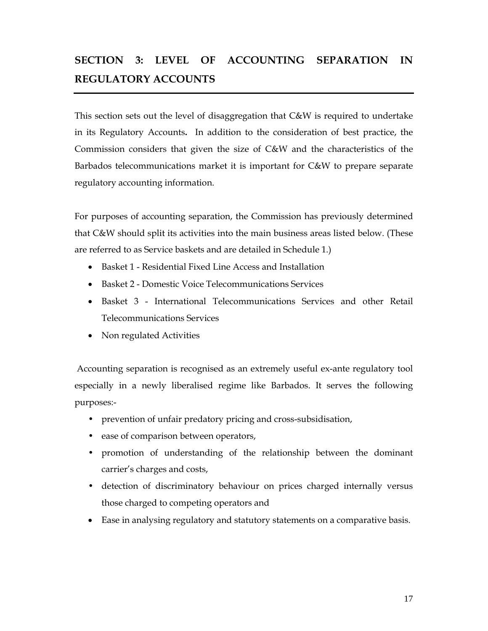## **SECTION 3: LEVEL OF ACCOUNTING SEPARATION IN REGULATORY ACCOUNTS**

This section sets out the level of disaggregation that C&W is required to undertake in its Regulatory Accounts**.** In addition to the consideration of best practice, the Commission considers that given the size of C&W and the characteristics of the Barbados telecommunications market it is important for C&W to prepare separate regulatory accounting information.

For purposes of accounting separation, the Commission has previously determined that C&W should split its activities into the main business areas listed below. (These are referred to as Service baskets and are detailed in Schedule 1.)

- Basket 1 Residential Fixed Line Access and Installation
- Basket 2 Domestic Voice Telecommunications Services
- Basket 3 International Telecommunications Services and other Retail Telecommunications Services
- Non regulated Activities

 Accounting separation is recognised as an extremely useful ex-ante regulatory tool especially in a newly liberalised regime like Barbados. It serves the following purposes:-

- prevention of unfair predatory pricing and cross-subsidisation,
- ease of comparison between operators,
- promotion of understanding of the relationship between the dominant carrier's charges and costs,
- detection of discriminatory behaviour on prices charged internally versus those charged to competing operators and
- Ease in analysing regulatory and statutory statements on a comparative basis.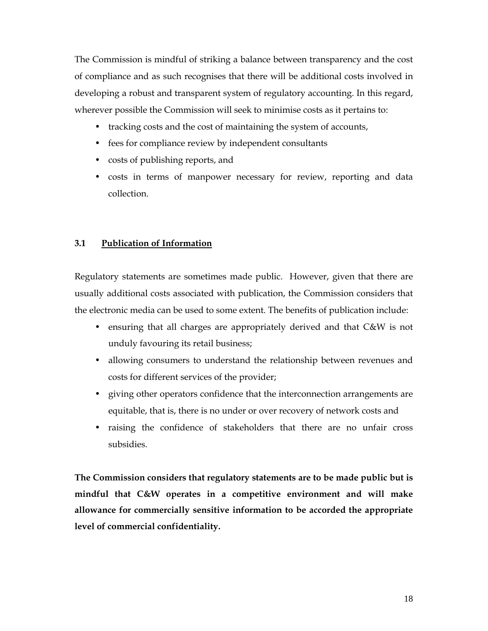The Commission is mindful of striking a balance between transparency and the cost of compliance and as such recognises that there will be additional costs involved in developing a robust and transparent system of regulatory accounting. In this regard, wherever possible the Commission will seek to minimise costs as it pertains to:

- tracking costs and the cost of maintaining the system of accounts,
- fees for compliance review by independent consultants
- costs of publishing reports, and
- costs in terms of manpower necessary for review, reporting and data collection.

#### **3.1 Publication of Information**

Regulatory statements are sometimes made public. However, given that there are usually additional costs associated with publication, the Commission considers that the electronic media can be used to some extent. The benefits of publication include:

- ensuring that all charges are appropriately derived and that C&W is not unduly favouring its retail business;
- allowing consumers to understand the relationship between revenues and costs for different services of the provider;
- giving other operators confidence that the interconnection arrangements are equitable, that is, there is no under or over recovery of network costs and
- raising the confidence of stakeholders that there are no unfair cross subsidies.

**The Commission considers that regulatory statements are to be made public but is mindful that C&W operates in a competitive environment and will make allowance for commercially sensitive information to be accorded the appropriate level of commercial confidentiality.**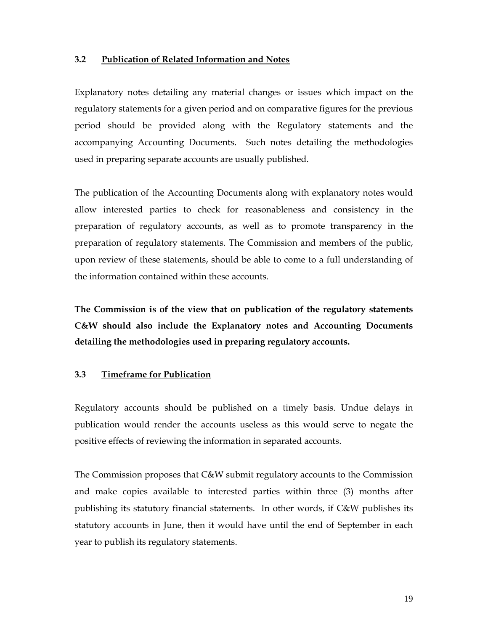#### **3.2 Publication of Related Information and Notes**

Explanatory notes detailing any material changes or issues which impact on the regulatory statements for a given period and on comparative figures for the previous period should be provided along with the Regulatory statements and the accompanying Accounting Documents. Such notes detailing the methodologies used in preparing separate accounts are usually published.

The publication of the Accounting Documents along with explanatory notes would allow interested parties to check for reasonableness and consistency in the preparation of regulatory accounts, as well as to promote transparency in the preparation of regulatory statements. The Commission and members of the public, upon review of these statements, should be able to come to a full understanding of the information contained within these accounts.

**The Commission is of the view that on publication of the regulatory statements C&W should also include the Explanatory notes and Accounting Documents detailing the methodologies used in preparing regulatory accounts.** 

#### **3.3 Timeframe for Publication**

Regulatory accounts should be published on a timely basis. Undue delays in publication would render the accounts useless as this would serve to negate the positive effects of reviewing the information in separated accounts.

The Commission proposes that C&W submit regulatory accounts to the Commission and make copies available to interested parties within three (3) months after publishing its statutory financial statements. In other words, if C&W publishes its statutory accounts in June, then it would have until the end of September in each year to publish its regulatory statements.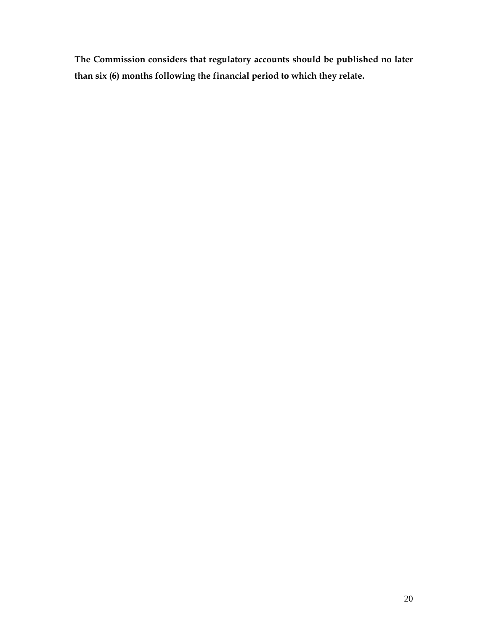**The Commission considers that regulatory accounts should be published no later than six (6) months following the financial period to which they relate.**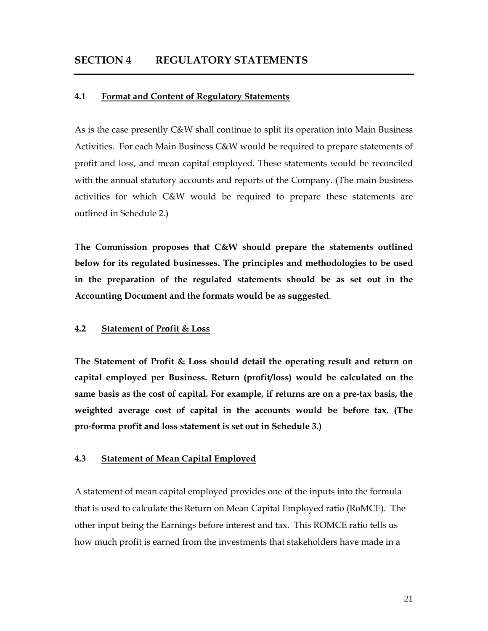#### **4.1 Format and Content of Regulatory Statements**

As is the case presently C&W shall continue to split its operation into Main Business Activities. For each Main Business C&W would be required to prepare statements of profit and loss, and mean capital employed. These statements would be reconciled with the annual statutory accounts and reports of the Company. (The main business activities for which C&W would be required to prepare these statements are outlined in Schedule 2.)

**The Commission proposes that C&W should prepare the statements outlined below for its regulated businesses. The principles and methodologies to be used in the preparation of the regulated statements should be as set out in the Accounting Document and the formats would be as suggested**.

#### **4.2 Statement of Profit & Loss**

**The Statement of Profit & Loss should detail the operating result and return on capital employed per Business. Return (profit/loss) would be calculated on the same basis as the cost of capital. For example, if returns are on a pre-tax basis, the weighted average cost of capital in the accounts would be before tax. (The pro-forma profit and loss statement is set out in Schedule 3.)** 

#### **4.3 Statement of Mean Capital Employed**

A statement of mean capital employed provides one of the inputs into the formula that is used to calculate the Return on Mean Capital Employed ratio (RoMCE). The other input being the Earnings before interest and tax. This ROMCE ratio tells us how much profit is earned from the investments that stakeholders have made in a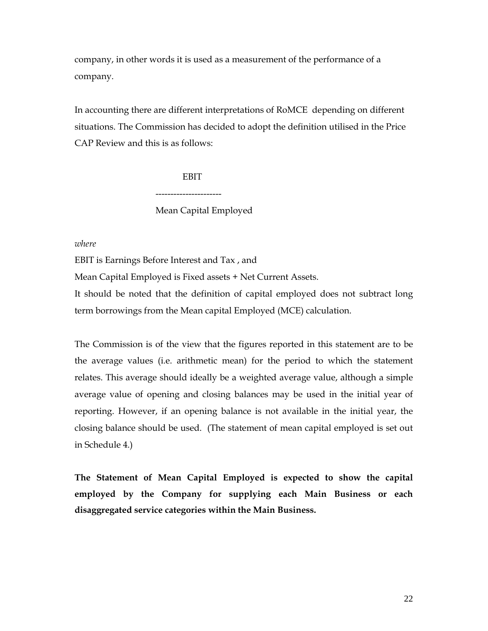company, in other words it is used as a measurement of the performance of a company.

In accounting there are different interpretations of RoMCE depending on different situations. The Commission has decided to adopt the definition utilised in the Price CAP Review and this is as follows:

> **EBIT** ---------------------- Mean Capital Employed

*where* 

EBIT is Earnings Before Interest and Tax , and

Mean Capital Employed is Fixed assets + Net Current Assets.

It should be noted that the definition of capital employed does not subtract long term borrowings from the Mean capital Employed (MCE) calculation.

The Commission is of the view that the figures reported in this statement are to be the average values (i.e. arithmetic mean) for the period to which the statement relates. This average should ideally be a weighted average value, although a simple average value of opening and closing balances may be used in the initial year of reporting. However, if an opening balance is not available in the initial year, the closing balance should be used. (The statement of mean capital employed is set out in Schedule 4.)

**The Statement of Mean Capital Employed is expected to show the capital employed by the Company for supplying each Main Business or each disaggregated service categories within the Main Business.**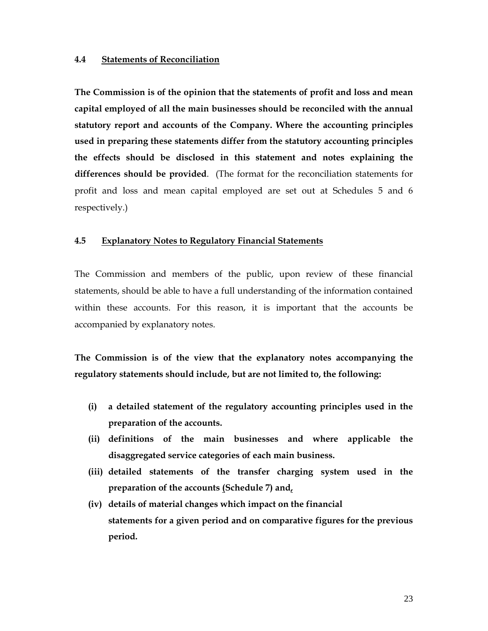#### **4.4 Statements of Reconciliation**

**The Commission is of the opinion that the statements of profit and loss and mean capital employed of all the main businesses should be reconciled with the annual statutory report and accounts of the Company. Where the accounting principles used in preparing these statements differ from the statutory accounting principles the effects should be disclosed in this statement and notes explaining the differences should be provided**. (The format for the reconciliation statements for profit and loss and mean capital employed are set out at Schedules 5 and 6 respectively.)

#### **4.5 Explanatory Notes to Regulatory Financial Statements**

The Commission and members of the public, upon review of these financial statements, should be able to have a full understanding of the information contained within these accounts. For this reason, it is important that the accounts be accompanied by explanatory notes.

**The Commission is of the view that the explanatory notes accompanying the regulatory statements should include, but are not limited to, the following:** 

- **(i) a detailed statement of the regulatory accounting principles used in the preparation of the accounts.**
- **(ii) definitions of the main businesses and where applicable the disaggregated service categories of each main business.**
- **(iii) detailed statements of the transfer charging system used in the preparation of the accounts (Schedule 7) and,**
- **(iv) details of material changes which impact on the financial statements for a given period and on comparative figures for the previous period.**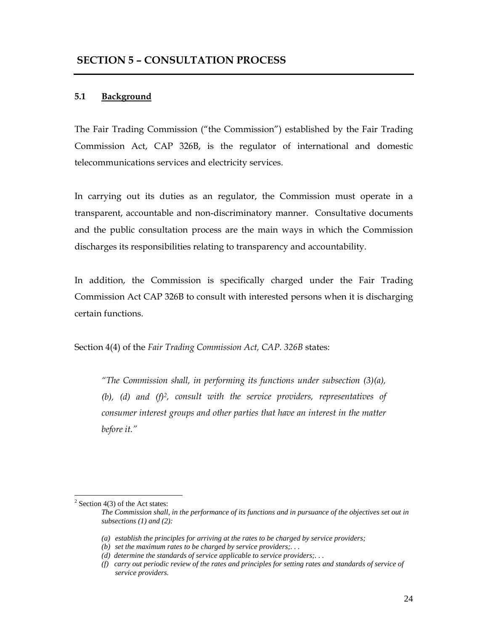#### **5.1 Background**

The Fair Trading Commission ("the Commission") established by the Fair Trading Commission Act, CAP 326B, is the regulator of international and domestic telecommunications services and electricity services.

In carrying out its duties as an regulator, the Commission must operate in a transparent, accountable and non-discriminatory manner. Consultative documents and the public consultation process are the main ways in which the Commission discharges its responsibilities relating to transparency and accountability.

In addition, the Commission is specifically charged under the Fair Trading Commission Act CAP 326B to consult with interested persons when it is discharging certain functions.

Section 4(4) of the *Fair Trading Commission Act, CAP. 326B* states:

*"The Commission shall, in performing its functions under subsection (3)(a), (b), (d) and (f)2, consult with the service providers, representatives of consumer interest groups and other parties that have an interest in the matter before it."* 

 $\overline{a}$ 

 $2$  Section 4(3) of the Act states:

*The Commission shall, in the performance of its functions and in pursuance of the objectives set out in subsections (1) and (2):* 

*<sup>(</sup>a) establish the principles for arriving at the rates to be charged by service providers;* 

*<sup>(</sup>b) set the maximum rates to be charged by service providers;. . .* 

*<sup>(</sup>d) determine the standards of service applicable to service providers;. . .* 

*<sup>(</sup>f) carry out periodic review of the rates and principles for setting rates and standards of service of service providers.*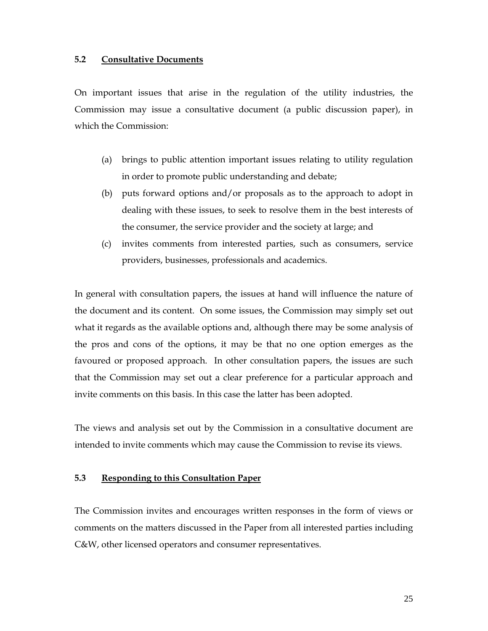#### **5.2 Consultative Documents**

On important issues that arise in the regulation of the utility industries, the Commission may issue a consultative document (a public discussion paper), in which the Commission:

- (a) brings to public attention important issues relating to utility regulation in order to promote public understanding and debate;
- (b) puts forward options and/or proposals as to the approach to adopt in dealing with these issues, to seek to resolve them in the best interests of the consumer, the service provider and the society at large; and
- (c) invites comments from interested parties, such as consumers, service providers, businesses, professionals and academics.

In general with consultation papers, the issues at hand will influence the nature of the document and its content. On some issues, the Commission may simply set out what it regards as the available options and, although there may be some analysis of the pros and cons of the options, it may be that no one option emerges as the favoured or proposed approach. In other consultation papers, the issues are such that the Commission may set out a clear preference for a particular approach and invite comments on this basis. In this case the latter has been adopted.

The views and analysis set out by the Commission in a consultative document are intended to invite comments which may cause the Commission to revise its views.

#### **5.3 Responding to this Consultation Paper**

The Commission invites and encourages written responses in the form of views or comments on the matters discussed in the Paper from all interested parties including C&W, other licensed operators and consumer representatives.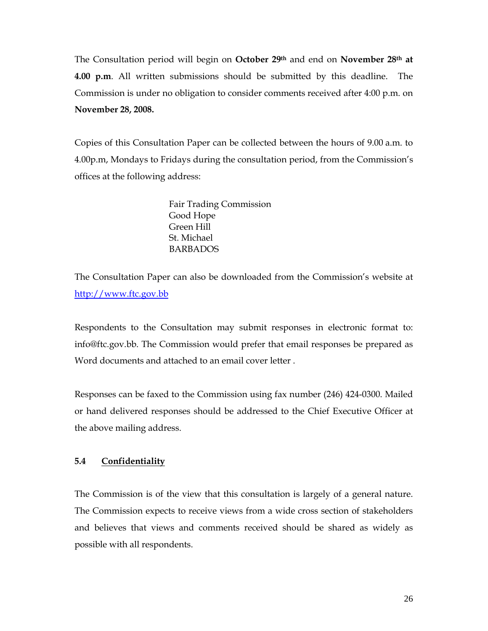The Consultation period will begin on **October 29th** and end on **November 28th at 4.00 p.m**. All written submissions should be submitted by this deadline. The Commission is under no obligation to consider comments received after 4:00 p.m. on **November 28, 2008.**

Copies of this Consultation Paper can be collected between the hours of 9.00 a.m. to 4.00p.m, Mondays to Fridays during the consultation period, from the Commission's offices at the following address:

> Fair Trading Commission Good Hope Green Hill St. Michael BARBADOS

The Consultation Paper can also be downloaded from the Commission's website at http://www.ftc.gov.bb

Respondents to the Consultation may submit responses in electronic format to: info@ftc.gov.bb. The Commission would prefer that email responses be prepared as Word documents and attached to an email cover letter .

Responses can be faxed to the Commission using fax number (246) 424-0300. Mailed or hand delivered responses should be addressed to the Chief Executive Officer at the above mailing address.

#### **5.4 Confidentiality**

The Commission is of the view that this consultation is largely of a general nature. The Commission expects to receive views from a wide cross section of stakeholders and believes that views and comments received should be shared as widely as possible with all respondents.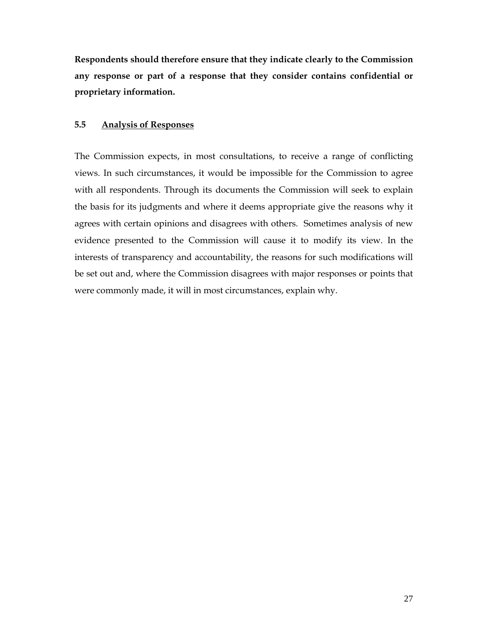**Respondents should therefore ensure that they indicate clearly to the Commission any response or part of a response that they consider contains confidential or proprietary information.** 

#### **5.5 Analysis of Responses**

The Commission expects, in most consultations, to receive a range of conflicting views. In such circumstances, it would be impossible for the Commission to agree with all respondents. Through its documents the Commission will seek to explain the basis for its judgments and where it deems appropriate give the reasons why it agrees with certain opinions and disagrees with others. Sometimes analysis of new evidence presented to the Commission will cause it to modify its view. In the interests of transparency and accountability, the reasons for such modifications will be set out and, where the Commission disagrees with major responses or points that were commonly made, it will in most circumstances, explain why.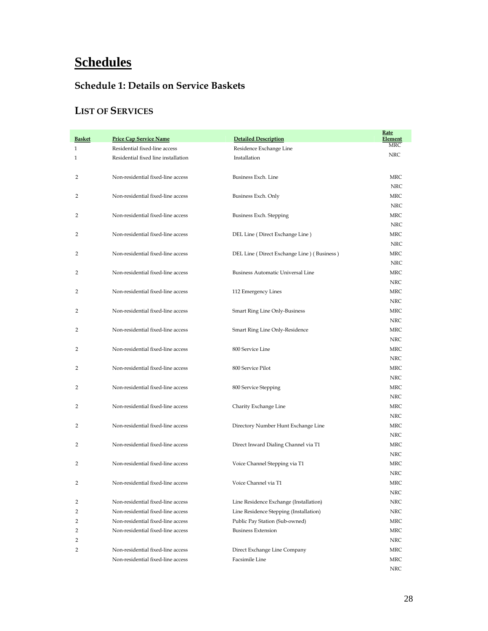## **Schedules**

#### **Schedule 1: Details on Service Baskets**

#### **LIST OF SERVICES**

| <b>Basket</b> | <b>Price Cap Service Name</b>       | <b>Detailed Description</b>                | Rate<br><b>Element</b> |
|---------------|-------------------------------------|--------------------------------------------|------------------------|
| 1             | Residential fixed-line access       | Residence Exchange Line                    | MRC                    |
| 1             | Residential fixed line installation | Installation                               | <b>NRC</b>             |
| 2             | Non-residential fixed-line access   | Business Exch. Line                        | MRC<br><b>NRC</b>      |
| 2             | Non-residential fixed-line access   | Business Exch. Only                        | MRC<br><b>NRC</b>      |
| 2             | Non-residential fixed-line access   | Business Exch. Stepping                    | MRC<br><b>NRC</b>      |
| 2             | Non-residential fixed-line access   | DEL Line (Direct Exchange Line)            | MRC                    |
| 2             | Non-residential fixed-line access   | DEL Line (Direct Exchange Line) (Business) | <b>NRC</b><br>MRC      |
| 2             | Non-residential fixed-line access   | Business Automatic Universal Line          | <b>NRC</b><br>MRC      |
| 2             | Non-residential fixed-line access   | 112 Emergency Lines                        | <b>NRC</b><br>MRC      |
| 2             | Non-residential fixed-line access   | <b>Smart Ring Line Only-Business</b>       | <b>NRC</b><br>MRC      |
| 2             | Non-residential fixed-line access   | Smart Ring Line Only-Residence             | <b>NRC</b><br>MRC      |
| 2             | Non-residential fixed-line access   | 800 Service Line                           | <b>NRC</b><br>MRC      |
| 2             | Non-residential fixed-line access   | 800 Service Pilot                          | <b>NRC</b><br>MRC      |
| 2             | Non-residential fixed-line access   | 800 Service Stepping                       | <b>NRC</b><br>MRC      |
| 2             | Non-residential fixed-line access   | Charity Exchange Line                      | <b>NRC</b><br>MRC      |
| 2             | Non-residential fixed-line access   | Directory Number Hunt Exchange Line        | <b>NRC</b><br>MRC      |
| 2             | Non-residential fixed-line access   | Direct Inward Dialing Channel via T1       | <b>NRC</b><br>MRC      |
| 2             | Non-residential fixed-line access   | Voice Channel Stepping via T1              | <b>NRC</b><br>MRC      |
| 2             | Non-residential fixed-line access   | Voice Channel via T1                       | <b>NRC</b><br>MRC      |
| 2             | Non-residential fixed-line access   | Line Residence Exchange (Installation)     | NRC<br>NRC             |
| 2             | Non-residential fixed-line access   | Line Residence Stepping (Installation)     | NRC                    |
|               |                                     |                                            |                        |
| 2             | Non-residential fixed-line access   | Public Pay Station (Sub-owned)             | MRC                    |
| 2             | Non-residential fixed-line access   | <b>Business Extension</b>                  | MRC                    |
| 2<br>2        | Non-residential fixed-line access   | Direct Exchange Line Company               | NRC<br>MRC             |
|               | Non-residential fixed-line access   | Facsimile Line                             | MRC                    |
|               |                                     |                                            | <b>NRC</b>             |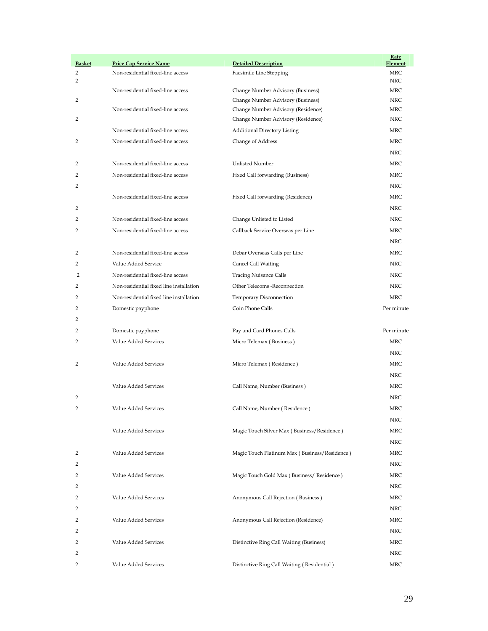| <b>Basket</b> | <b>Price Cap Service Name</b>           | <b>Detailed Description</b>                   | <u>Rate</u><br>Element |
|---------------|-----------------------------------------|-----------------------------------------------|------------------------|
| 2             | Non-residential fixed-line access       | Facsimile Line Stepping                       | MRC                    |
| 2             |                                         |                                               | <b>NRC</b>             |
|               | Non-residential fixed-line access       | Change Number Advisory (Business)             | MRC                    |
| 2             |                                         | Change Number Advisory (Business)             | <b>NRC</b>             |
|               | Non-residential fixed-line access       | Change Number Advisory (Residence)            | MRC                    |
| 2             |                                         | Change Number Advisory (Residence)            | <b>NRC</b>             |
|               | Non-residential fixed-line access       | <b>Additional Directory Listing</b>           | MRC                    |
| 2             | Non-residential fixed-line access       | Change of Address                             | MRC                    |
|               |                                         |                                               | <b>NRC</b>             |
| 2             | Non-residential fixed-line access       | Unlisted Number                               | <b>MRC</b>             |
| 2             | Non-residential fixed-line access       | Fixed Call forwarding (Business)              | MRC                    |
| 2             |                                         |                                               | <b>NRC</b>             |
|               | Non-residential fixed-line access       | Fixed Call forwarding (Residence)             | MRC                    |
| 2             |                                         |                                               | <b>NRC</b>             |
| 2             | Non-residential fixed-line access       | Change Unlisted to Listed                     | <b>NRC</b>             |
| 2             | Non-residential fixed-line access       | Callback Service Overseas per Line            | MRC                    |
|               |                                         |                                               | <b>NRC</b>             |
| 2             | Non-residential fixed-line access       | Debar Overseas Calls per Line                 | MRC                    |
| 2             | Value Added Service                     | Cancel Call Waiting                           | <b>NRC</b>             |
| 2             | Non-residential fixed-line access       | <b>Tracing Nuisance Calls</b>                 | NRC                    |
| 2             | Non-residential fixed line installation | Other Telecoms -Reconnection                  | <b>NRC</b>             |
| 2             | Non-residential fixed line installation | Temporary Disconnection                       | <b>MRC</b>             |
| 2             | Domestic payphone                       | Coin Phone Calls                              | Per minute             |
| 2             |                                         |                                               |                        |
| 2             | Domestic payphone                       | Pay and Card Phones Calls                     | Per minute             |
| 2             | Value Added Services                    | Micro Telemax (Business)                      | MRC                    |
|               |                                         |                                               | NRC                    |
| 2             | Value Added Services                    | Micro Telemax (Residence)                     | MRC                    |
|               |                                         |                                               | <b>NRC</b>             |
|               | Value Added Services                    | Call Name, Number (Business)                  | MRC                    |
| 2             |                                         |                                               | <b>NRC</b>             |
|               |                                         |                                               |                        |
| 2             | Value Added Services                    | Call Name, Number (Residence)                 | MRC                    |
|               |                                         |                                               | NRC                    |
|               | Value Added Services                    | Magic Touch Silver Max (Business/Residence)   | MRC                    |
|               |                                         |                                               | <b>NRC</b>             |
| 2             | Value Added Services                    | Magic Touch Platinum Max (Business/Residence) | MRC                    |
| 2             |                                         |                                               | NRC                    |
| 2             | Value Added Services                    | Magic Touch Gold Max (Business/Residence)     | MRC                    |
| 2             |                                         |                                               | NRC                    |
| 2             | Value Added Services                    | Anonymous Call Rejection (Business)           | MRC                    |
| 2             |                                         |                                               | <b>NRC</b>             |
| 2             | Value Added Services                    | Anonymous Call Rejection (Residence)          | <b>MRC</b>             |
| 2             |                                         |                                               | NRC                    |
| 2             | Value Added Services                    | Distinctive Ring Call Waiting (Business)      | MRC                    |
| 2             |                                         |                                               | NRC                    |
| 2             | Value Added Services                    | Distinctive Ring Call Waiting (Residential)   | MRC                    |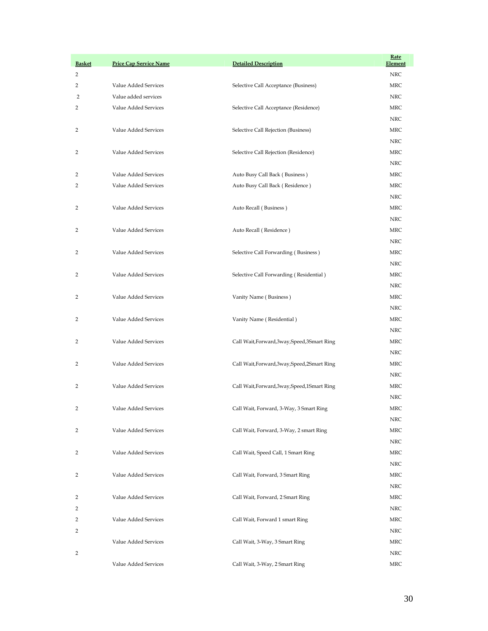| <b>Basket</b> | <b>Price Cap Service Name</b> | <b>Detailed Description</b>                  | <u>Rate</u><br>Element |
|---------------|-------------------------------|----------------------------------------------|------------------------|
| 2             |                               |                                              | NRC                    |
| 2             | Value Added Services          | Selective Call Acceptance (Business)         | MRC                    |
| 2             | Value added services          |                                              | <b>NRC</b>             |
| 2             | Value Added Services          | Selective Call Acceptance (Residence)        | MRC                    |
|               |                               |                                              | <b>NRC</b>             |
| 2             | Value Added Services          | Selective Call Rejection (Business)          | MRC                    |
|               |                               |                                              | NRC                    |
| 2             | Value Added Services          | Selective Call Rejection (Residence)         | MRC                    |
|               |                               |                                              | <b>NRC</b>             |
| 2             | Value Added Services          | Auto Busy Call Back (Business)               | MRC                    |
| 2             | Value Added Services          | Auto Busy Call Back (Residence)              | MRC                    |
|               |                               |                                              | <b>NRC</b>             |
| 2             | Value Added Services          | Auto Recall (Business)                       | MRC                    |
|               |                               |                                              | <b>NRC</b>             |
| 2             | Value Added Services          | Auto Recall (Residence)                      | <b>MRC</b>             |
|               |                               |                                              | <b>NRC</b>             |
| 2             | Value Added Services          | Selective Call Forwarding (Business)         | MRC                    |
|               |                               |                                              | <b>NRC</b>             |
| 2             | Value Added Services          | Selective Call Forwarding (Residential)      | MRC                    |
|               |                               |                                              | <b>NRC</b>             |
| 2             | Value Added Services          | Vanity Name (Business)                       | <b>MRC</b>             |
|               |                               |                                              | <b>NRC</b>             |
| 2             | Value Added Services          | Vanity Name (Residential)                    | MRC                    |
|               |                               |                                              | NRC                    |
| 2             | Value Added Services          | Call Wait, Forward, 3way, Speed, 3Smart Ring | MRC                    |
|               |                               |                                              | NRC                    |
| 2             | Value Added Services          | Call Wait, Forward, 3way, Speed, 2Smart Ring | MRC                    |
|               |                               |                                              | <b>NRC</b>             |
| 2             | Value Added Services          | Call Wait, Forward, 3way, Speed, 1Smart Ring | MRC                    |
|               |                               |                                              | <b>NRC</b>             |
| 2             | Value Added Services          | Call Wait, Forward, 3-Way, 3 Smart Ring      | MRC<br>NRC             |
| 2             | Value Added Services          | Call Wait, Forward, 3-Way, 2 smart Ring      | MRC                    |
|               |                               |                                              | NRC                    |
| 2             | Value Added Services          | Call Wait, Speed Call, 1 Smart Ring          | MRC                    |
|               |                               |                                              | NRC                    |
| 2             | Value Added Services          | Call Wait, Forward, 3 Smart Ring             | MRC                    |
|               |                               |                                              | NRC                    |
| 2             | Value Added Services          | Call Wait, Forward, 2 Smart Ring             | MRC                    |
| 2             |                               |                                              | NRC                    |
| 2             | Value Added Services          | Call Wait, Forward 1 smart Ring              | MRC                    |
| 2             |                               |                                              | NRC                    |
|               | Value Added Services          | Call Wait, 3-Way, 3 Smart Ring               | MRC                    |
| 2             |                               |                                              | NRC                    |
|               | Value Added Services          | Call Wait, 3-Way, 2 Smart Ring               | MRC                    |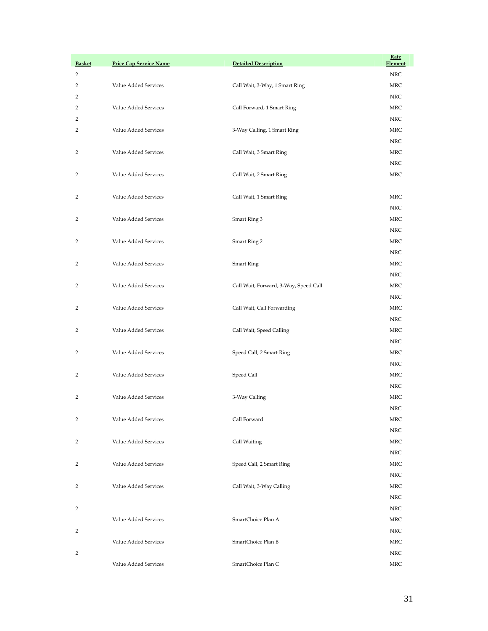| <b>Basket</b> | <b>Price Cap Service Name</b> | <b>Detailed Description</b>           | <u>Rate</u><br>Element |
|---------------|-------------------------------|---------------------------------------|------------------------|
| 2             |                               |                                       | NRC                    |
| 2             | Value Added Services          | Call Wait, 3-Way, 1 Smart Ring        | MRC                    |
| 2             |                               |                                       | <b>NRC</b>             |
| 2             | Value Added Services          | Call Forward, 1 Smart Ring            | MRC                    |
| 2             |                               |                                       | <b>NRC</b>             |
| 2             | Value Added Services          | 3-Way Calling, 1 Smart Ring           | MRC                    |
|               |                               |                                       | <b>NRC</b>             |
| 2             | Value Added Services          | Call Wait, 3 Smart Ring               | MRC                    |
|               |                               |                                       | <b>NRC</b>             |
| 2             | Value Added Services          | Call Wait, 2 Smart Ring               | MRC                    |
|               |                               |                                       |                        |
| 2             | Value Added Services          | Call Wait, 1 Smart Ring               | MRC                    |
|               |                               |                                       | <b>NRC</b>             |
| 2             | Value Added Services          | Smart Ring 3                          | MRC                    |
|               |                               |                                       | <b>NRC</b>             |
| 2             | Value Added Services          | Smart Ring 2                          | MRC                    |
|               |                               |                                       | <b>NRC</b>             |
| 2             | Value Added Services          | <b>Smart Ring</b>                     | MRC                    |
|               |                               |                                       | <b>NRC</b>             |
| 2             | Value Added Services          | Call Wait, Forward, 3-Way, Speed Call | MRC                    |
|               |                               |                                       | <b>NRC</b>             |
| 2             | Value Added Services          | Call Wait, Call Forwarding            | MRC                    |
|               |                               |                                       | <b>NRC</b>             |
| 2             | Value Added Services          | Call Wait, Speed Calling              | MRC                    |
|               |                               |                                       | <b>NRC</b>             |
| 2             | Value Added Services          | Speed Call, 2 Smart Ring              | MRC                    |
|               |                               |                                       | <b>NRC</b>             |
| 2             | Value Added Services          | Speed Call                            | MRC                    |
|               |                               |                                       | <b>NRC</b>             |
| 2             | Value Added Services          | 3-Way Calling                         | MRC                    |
| 2             | Value Added Services          | Call Forward                          | <b>NRC</b><br>MRC      |
|               |                               |                                       | <b>NRC</b>             |
| 2             | Value Added Services          | Call Waiting                          | MRC                    |
|               |                               |                                       | <b>NRC</b>             |
| 2             | Value Added Services          | Speed Call, 2 Smart Ring              | MRC                    |
|               |                               |                                       | <b>NRC</b>             |
| 2             | Value Added Services          | Call Wait, 3-Way Calling              | MRC                    |
|               |                               |                                       | <b>NRC</b>             |
| 2             |                               |                                       | NRC                    |
|               | Value Added Services          | SmartChoice Plan A                    | MRC                    |
| 2             |                               |                                       | NRC                    |
|               | Value Added Services          | SmartChoice Plan B                    | MRC                    |
| 2             |                               |                                       | <b>NRC</b>             |
|               | Value Added Services          | SmartChoice Plan C                    | MRC                    |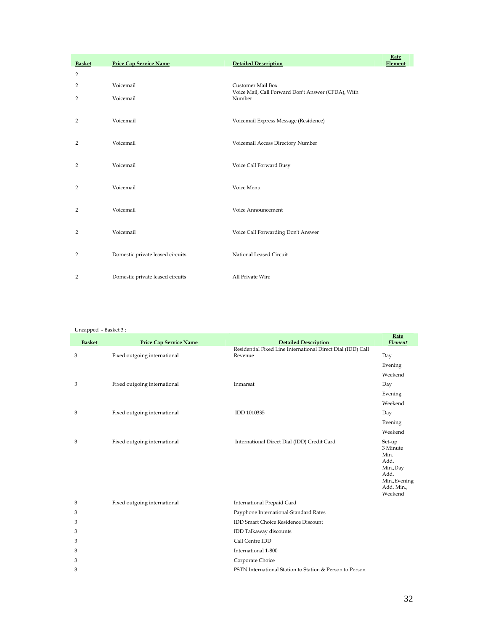| <b>Basket</b> | <b>Price Cap Service Name</b>    | <b>Detailed Description</b>                                  | Rate<br>Element |
|---------------|----------------------------------|--------------------------------------------------------------|-----------------|
| 2             |                                  |                                                              |                 |
| 2             | Voicemail                        | Customer Mail Box                                            |                 |
| 2             | Voicemail                        | Voice Mail, Call Forward Don't Answer (CFDA), With<br>Number |                 |
| 2             | Voicemail                        | Voicemail Express Message (Residence)                        |                 |
| 2             | Voicemail                        | Voicemail Access Directory Number                            |                 |
| 2             | Voicemail                        | Voice Call Forward Busy                                      |                 |
| 2             | Voicemail                        | Voice Menu                                                   |                 |
| 2             | Voicemail                        | Voice Announcement                                           |                 |
| 2             | Voicemail                        | Voice Call Forwarding Don't Answer                           |                 |
| 2             | Domestic private leased circuits | National Leased Circuit                                      |                 |
| 2             | Domestic private leased circuits | All Private Wire                                             |                 |

| <b>Basket</b> | <b>Price Cap Service Name</b> | <b>Detailed Description</b>                                 | Rate<br>Element                                                                                  |
|---------------|-------------------------------|-------------------------------------------------------------|--------------------------------------------------------------------------------------------------|
|               |                               | Residential Fixed Line International Direct Dial (IDD) Call |                                                                                                  |
| 3             | Fixed outgoing international  | Revenue                                                     | Day                                                                                              |
|               |                               |                                                             | Evening                                                                                          |
|               |                               |                                                             | Weekend                                                                                          |
| 3             | Fixed outgoing international  | Inmarsat                                                    | Day                                                                                              |
|               |                               |                                                             | Evening                                                                                          |
|               |                               |                                                             | Weekend                                                                                          |
| 3             | Fixed outgoing international  | IDD 1010335                                                 | Day                                                                                              |
|               |                               |                                                             | Evening                                                                                          |
|               |                               |                                                             | Weekend                                                                                          |
| 3             | Fixed outgoing international  | International Direct Dial (IDD) Credit Card                 | Set-up<br>3 Minute<br>Min.<br>Add.<br>Min.,Day<br>Add.<br>Min., Evening<br>Add. Min.,<br>Weekend |
| 3             | Fixed outgoing international  | International Prepaid Card                                  |                                                                                                  |
| 3             |                               | Payphone International-Standard Rates                       |                                                                                                  |
| 3             |                               | <b>IDD Smart Choice Residence Discount</b>                  |                                                                                                  |
| 3             |                               | IDD Talkaway discounts                                      |                                                                                                  |
| 3             |                               | Call Centre IDD                                             |                                                                                                  |
| 3             |                               | International 1-800                                         |                                                                                                  |
| 3             |                               | Corporate Choice                                            |                                                                                                  |
| 3             |                               | PSTN International Station to Station & Person to Person    |                                                                                                  |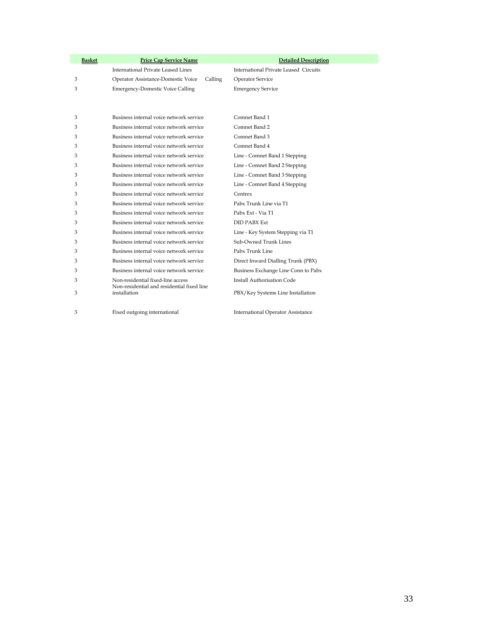| <b>Basket</b> | <b>Price Cap Service Name</b>                              | <b>Detailed Description</b>              |
|---------------|------------------------------------------------------------|------------------------------------------|
|               | International Private Leased Lines                         | International Private Leased Circuits    |
| 3             | Operator Assistance-Domestic Voice<br>Calling              | Operator Service                         |
| 3             | <b>Emergency-Domestic Voice Calling</b>                    | <b>Emergency Service</b>                 |
|               |                                                            |                                          |
|               |                                                            |                                          |
| 3             | Business internal voice network service                    | Comnet Band 1                            |
| 3             | Business internal voice network service                    | Comnet Band 2                            |
| 3             | Business internal voice network service                    | Comnet Band 3                            |
| 3             | Business internal voice network service                    | Comnet Band 4                            |
| 3             | Business internal voice network service                    | Line - Comnet Band 1 Stepping            |
| 3             | Business internal voice network service                    | Line - Comnet Band 2 Stepping            |
| 3             | Business internal voice network service                    | Line - Comnet Band 3 Stepping            |
| 3             | Business internal voice network service                    | Line - Comnet Band 4 Stepping            |
| 3             | Business internal voice network service                    | Centrex                                  |
| 3             | Business internal voice network service                    | Pabx Trunk Line via T1                   |
| 3             | Business internal voice network service                    | Pabx Ext - Via T1                        |
| 3             | Business internal voice network service                    | <b>DID PABX Ext</b>                      |
| 3             | Business internal voice network service                    | Line - Key System Stepping via T1        |
| 3             | Business internal voice network service                    | Sub-Owned Trunk Lines                    |
| 3             | Business internal voice network service                    | Pabx Trunk Line                          |
| 3             | Business internal voice network service                    | Direct Inward Dialling Trunk (PBX)       |
| 3             | Business internal voice network service                    | Business Exchange Line Conn to Pabx      |
| 3             | Non-residential fixed-line access                          | <b>Install Authorisation Code</b>        |
| 3             | Non-residential and residential fixed line<br>installation | PBX/Key Systems Line Installation        |
|               |                                                            |                                          |
| 3             | Fixed outgoing international                               | <b>International Operator Assistance</b> |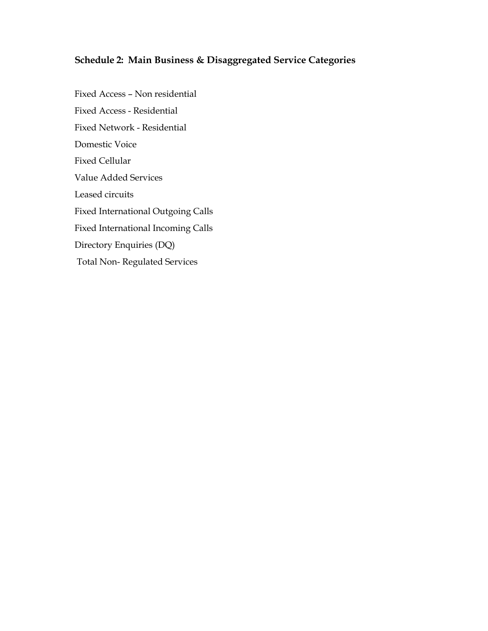#### **Schedule 2: Main Business & Disaggregated Service Categories**

Fixed Access – Non residential Fixed Access - Residential Fixed Network - Residential Domestic Voice Fixed Cellular Value Added Services Leased circuits Fixed International Outgoing Calls Fixed International Incoming Calls Directory Enquiries (DQ) Total Non- Regulated Services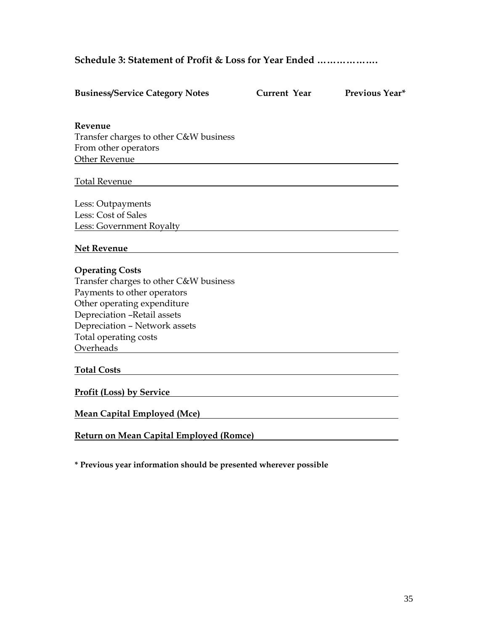**Schedule 3: Statement of Profit & Loss for Year Ended ……………….** 

| <b>Business/Service Category Notes</b>                                                                                                                                                                                               | <b>Current Year</b> | <b>Previous Year*</b> |
|--------------------------------------------------------------------------------------------------------------------------------------------------------------------------------------------------------------------------------------|---------------------|-----------------------|
| Revenue<br>Transfer charges to other C&W business                                                                                                                                                                                    |                     |                       |
| From other operators<br><b>Other Revenue</b>                                                                                                                                                                                         |                     |                       |
| <b>Total Revenue</b><br><u> 1989 - Johann Stoff, deutscher Stoffen und der Stoffen und der Stoffen und der Stoffen und der Stoffen und der</u>                                                                                       |                     |                       |
| Less: Outpayments                                                                                                                                                                                                                    |                     |                       |
| Less: Cost of Sales<br>Less: Government Royalty                                                                                                                                                                                      |                     |                       |
| <b>Net Revenue</b>                                                                                                                                                                                                                   |                     |                       |
| <b>Operating Costs</b><br>Transfer charges to other C&W business<br>Payments to other operators<br>Other operating expenditure<br>Depreciation -Retail assets<br>Depreciation - Network assets<br>Total operating costs<br>Overheads |                     |                       |
| <b>Total Costs</b>                                                                                                                                                                                                                   |                     |                       |
| <b>Profit (Loss) by Service</b>                                                                                                                                                                                                      |                     |                       |
| <b>Mean Capital Employed (Mce)</b>                                                                                                                                                                                                   |                     |                       |
| Return on Mean Capital Employed (Romce)                                                                                                                                                                                              |                     |                       |

**\* Previous year information should be presented wherever possible**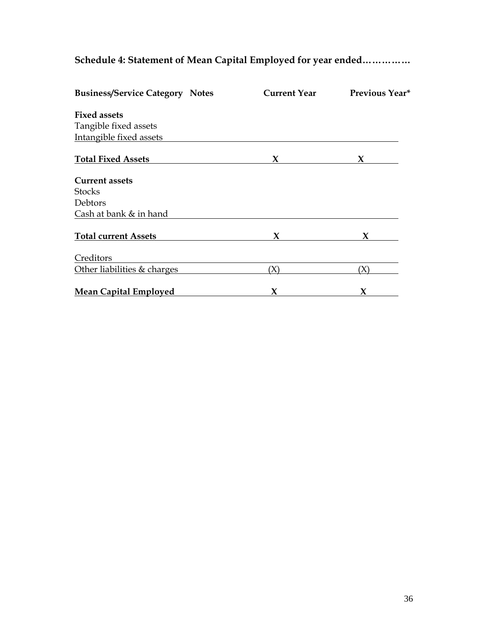**Schedule 4: Statement of Mean Capital Employed for year ended……………** 

| <b>Business/Service Category Notes</b> | Current Year | Previous Year* |
|----------------------------------------|--------------|----------------|
| <b>Fixed assets</b>                    |              |                |
| Tangible fixed assets                  |              |                |
| Intangible fixed assets                |              |                |
| <b>Total Fixed Assets</b>              | X            | X              |
| <b>Current assets</b>                  |              |                |
| <b>Stocks</b>                          |              |                |
| Debtors                                |              |                |
| Cash at bank & in hand                 |              |                |
| <b>Total current Assets</b>            | X            | X              |
| Creditors                              |              |                |
| Other liabilities & charges            | (X)          | (X)            |
| <b>Mean Capital Employed</b>           | X            | X              |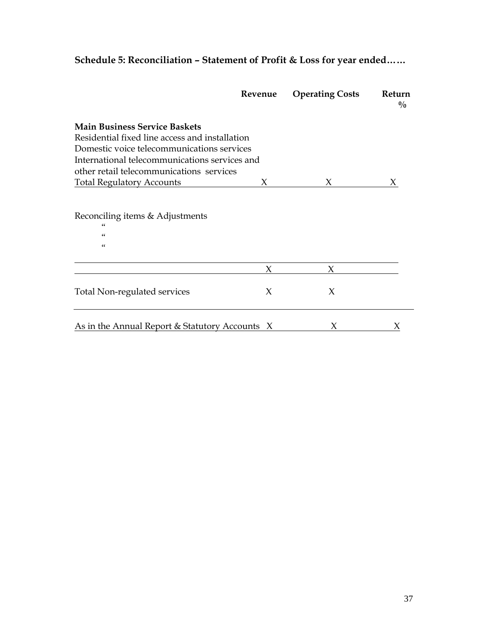## **Schedule 5: Reconciliation – Statement of Profit & Loss for year ended……**

|                                                                                        | Revenue | <b>Operating Costs</b> | Return<br>$\frac{0}{0}$ |
|----------------------------------------------------------------------------------------|---------|------------------------|-------------------------|
| <b>Main Business Service Baskets</b><br>Residential fixed line access and installation |         |                        |                         |
| Domestic voice telecommunications services                                             |         |                        |                         |
| International telecommunications services and                                          |         |                        |                         |
| other retail telecommunications services                                               |         |                        |                         |
| <b>Total Regulatory Accounts</b>                                                       | X       | X                      | X                       |
| Reconciling items & Adjustments<br>66<br>66<br>66                                      |         |                        |                         |
|                                                                                        | X       | X                      |                         |
| Total Non-regulated services                                                           | X       | X                      |                         |
| As in the Annual Report $&$ Statutory Accounts $X$                                     |         |                        |                         |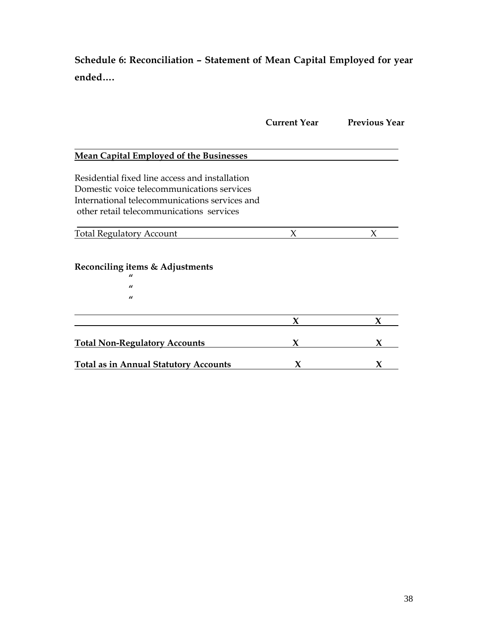**Schedule 6: Reconciliation – Statement of Mean Capital Employed for year ended….**

|                                                                                           | <b>Current Year</b> | <b>Previous Year</b> |
|-------------------------------------------------------------------------------------------|---------------------|----------------------|
|                                                                                           |                     |                      |
| <b>Mean Capital Employed of the Businesses</b>                                            |                     |                      |
| Residential fixed line access and installation                                            |                     |                      |
| Domestic voice telecommunications services                                                |                     |                      |
| International telecommunications services and<br>other retail telecommunications services |                     |                      |
| <b>Total Regulatory Account</b>                                                           | X                   | X                    |
| Reconciling items & Adjustments                                                           |                     |                      |
| $\mathbf{u}$                                                                              |                     |                      |
| $\mathbf{u}$                                                                              |                     |                      |
|                                                                                           | X                   | X                    |
| <b>Total Non-Regulatory Accounts</b>                                                      | X                   | X                    |
| <b>Total as in Annual Statutory Accounts</b>                                              | X                   | X                    |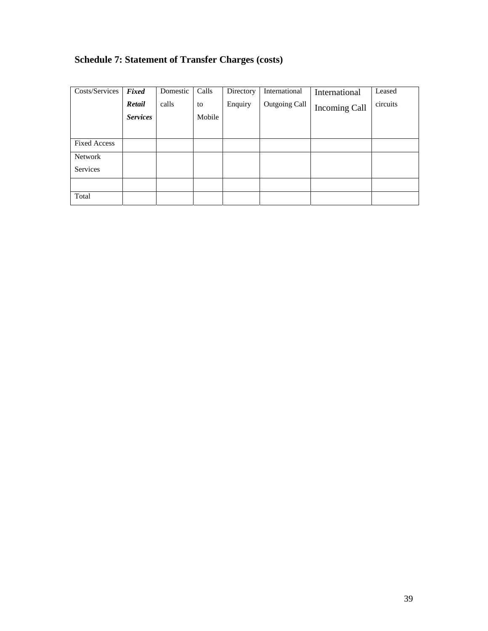### **Schedule 7: Statement of Transfer Charges (costs)**

| Costs/Services      | Fixed           | Domestic | Calls  | Directory | International | International        | Leased   |
|---------------------|-----------------|----------|--------|-----------|---------------|----------------------|----------|
|                     | Retail          | calls    | to     | Enquiry   | Outgoing Call | <b>Incoming Call</b> | circuits |
|                     | <b>Services</b> |          | Mobile |           |               |                      |          |
|                     |                 |          |        |           |               |                      |          |
| <b>Fixed Access</b> |                 |          |        |           |               |                      |          |
| Network             |                 |          |        |           |               |                      |          |
| Services            |                 |          |        |           |               |                      |          |
|                     |                 |          |        |           |               |                      |          |
| Total               |                 |          |        |           |               |                      |          |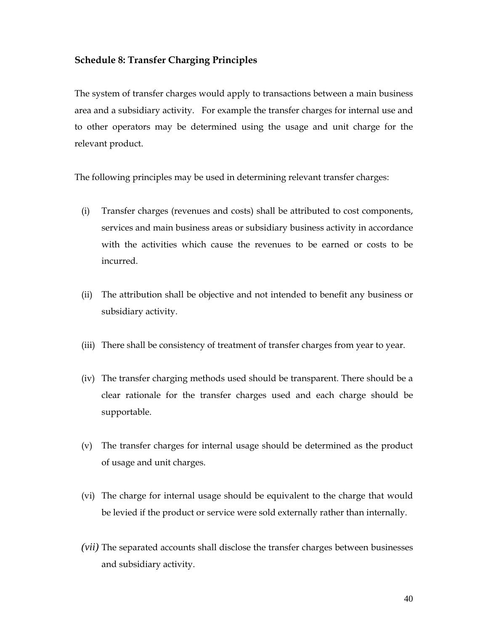#### **Schedule 8: Transfer Charging Principles**

The system of transfer charges would apply to transactions between a main business area and a subsidiary activity. For example the transfer charges for internal use and to other operators may be determined using the usage and unit charge for the relevant product.

The following principles may be used in determining relevant transfer charges:

- (i) Transfer charges (revenues and costs) shall be attributed to cost components, services and main business areas or subsidiary business activity in accordance with the activities which cause the revenues to be earned or costs to be incurred.
- (ii) The attribution shall be objective and not intended to benefit any business or subsidiary activity.
- (iii) There shall be consistency of treatment of transfer charges from year to year.
- (iv) The transfer charging methods used should be transparent. There should be a clear rationale for the transfer charges used and each charge should be supportable.
- (v) The transfer charges for internal usage should be determined as the product of usage and unit charges.
- (vi) The charge for internal usage should be equivalent to the charge that would be levied if the product or service were sold externally rather than internally.
- *(vii)* The separated accounts shall disclose the transfer charges between businesses and subsidiary activity.